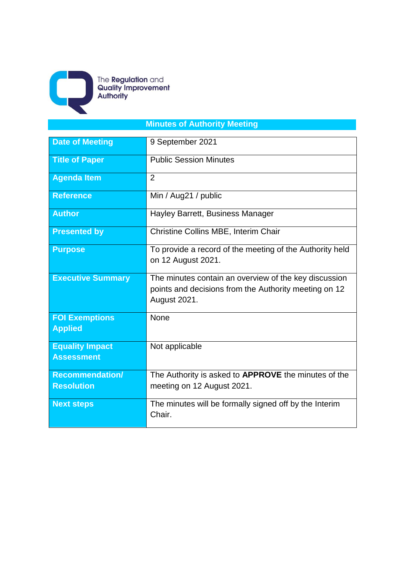

The **Regulation** and<br>**Quality Improvement**<br>**Authority** 

## **Minutes of Authority Meeting**

| <b>Date of Meeting</b>                      | 9 September 2021                                                                                                               |  |  |
|---------------------------------------------|--------------------------------------------------------------------------------------------------------------------------------|--|--|
| <b>Title of Paper</b>                       | <b>Public Session Minutes</b>                                                                                                  |  |  |
| <b>Agenda Item</b>                          | $\overline{2}$                                                                                                                 |  |  |
| <b>Reference</b>                            | Min / Aug21 / public                                                                                                           |  |  |
| <b>Author</b>                               | Hayley Barrett, Business Manager                                                                                               |  |  |
| <b>Presented by</b>                         | Christine Collins MBE, Interim Chair                                                                                           |  |  |
| <b>Purpose</b>                              | To provide a record of the meeting of the Authority held<br>on 12 August 2021.                                                 |  |  |
| <b>Executive Summary</b>                    | The minutes contain an overview of the key discussion<br>points and decisions from the Authority meeting on 12<br>August 2021. |  |  |
| <b>FOI Exemptions</b><br><b>Applied</b>     | None                                                                                                                           |  |  |
| <b>Equality Impact</b><br><b>Assessment</b> | Not applicable                                                                                                                 |  |  |
| <b>Recommendation/</b><br><b>Resolution</b> | The Authority is asked to APPROVE the minutes of the<br>meeting on 12 August 2021.                                             |  |  |
| <b>Next steps</b>                           | The minutes will be formally signed off by the Interim<br>Chair.                                                               |  |  |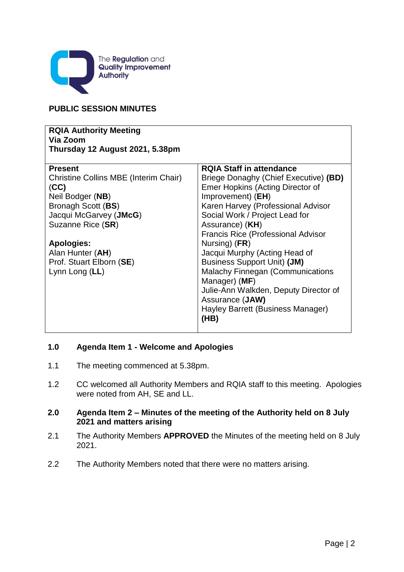

## **PUBLIC SESSION MINUTES**

| <b>RQIA Authority Meeting</b><br>Via Zoom<br>Thursday 12 August 2021, 5.38pm |                                           |  |  |
|------------------------------------------------------------------------------|-------------------------------------------|--|--|
| <b>Present</b>                                                               | <b>RQIA Staff in attendance</b>           |  |  |
| <b>Christine Collins MBE (Interim Chair)</b>                                 | Briege Donaghy (Chief Executive) (BD)     |  |  |
| (CC)                                                                         | Emer Hopkins (Acting Director of          |  |  |
| Neil Bodger (NB)                                                             | Improvement) (EH)                         |  |  |
| Bronagh Scott (BS)                                                           | Karen Harvey (Professional Advisor        |  |  |
| Jacqui McGarvey (JMcG)                                                       | Social Work / Project Lead for            |  |  |
| Suzanne Rice (SR)                                                            | Assurance) (KH)                           |  |  |
|                                                                              | <b>Francis Rice (Professional Advisor</b> |  |  |
| <b>Apologies:</b>                                                            | Nursing) (FR)                             |  |  |
| Alan Hunter (AH)                                                             | Jacqui Murphy (Acting Head of             |  |  |
| Prof. Stuart Elborn (SE)                                                     | <b>Business Support Unit) (JM)</b>        |  |  |
| Lynn Long (LL)                                                               | <b>Malachy Finnegan (Communications</b>   |  |  |
|                                                                              | Manager) (MF)                             |  |  |
|                                                                              | Julie-Ann Walkden, Deputy Director of     |  |  |
|                                                                              | Assurance (JAW)                           |  |  |
|                                                                              | Hayley Barrett (Business Manager)         |  |  |
|                                                                              | (HB)                                      |  |  |
|                                                                              |                                           |  |  |

## **1.0 Agenda Item 1 - Welcome and Apologies**

- 1.1 The meeting commenced at 5.38pm.
- 1.2 CC welcomed all Authority Members and RQIA staff to this meeting. Apologies were noted from AH, SE and LL.

### **2.0 Agenda Item 2 – Minutes of the meeting of the Authority held on 8 July 2021 and matters arising**

- 2.1 The Authority Members **APPROVED** the Minutes of the meeting held on 8 July 2021.
- 2.2 The Authority Members noted that there were no matters arising.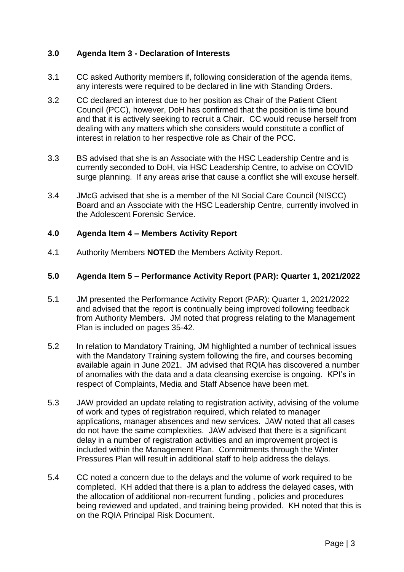### **3.0 Agenda Item 3 - Declaration of Interests**

- 3.1 CC asked Authority members if, following consideration of the agenda items, any interests were required to be declared in line with Standing Orders.
- 3.2 CC declared an interest due to her position as Chair of the Patient Client Council (PCC), however, DoH has confirmed that the position is time bound and that it is actively seeking to recruit a Chair. CC would recuse herself from dealing with any matters which she considers would constitute a conflict of interest in relation to her respective role as Chair of the PCC.
- 3.3 BS advised that she is an Associate with the HSC Leadership Centre and is currently seconded to DoH, via HSC Leadership Centre, to advise on COVID surge planning. If any areas arise that cause a conflict she will excuse herself.
- 3.4 JMcG advised that she is a member of the NI Social Care Council (NISCC) Board and an Associate with the HSC Leadership Centre, currently involved in the Adolescent Forensic Service.

#### **4.0 Agenda Item 4 – Members Activity Report**

4.1 Authority Members **NOTED** the Members Activity Report.

#### **5.0 Agenda Item 5 – Performance Activity Report (PAR): Quarter 1, 2021/2022**

- 5.1 JM presented the Performance Activity Report (PAR): Quarter 1, 2021/2022 and advised that the report is continually being improved following feedback from Authority Members. JM noted that progress relating to the Management Plan is included on pages 35-42.
- 5.2 In relation to Mandatory Training, JM highlighted a number of technical issues with the Mandatory Training system following the fire, and courses becoming available again in June 2021. JM advised that RQIA has discovered a number of anomalies with the data and a data cleansing exercise is ongoing. KPI's in respect of Complaints, Media and Staff Absence have been met.
- 5.3 JAW provided an update relating to registration activity, advising of the volume of work and types of registration required, which related to manager applications, manager absences and new services. JAW noted that all cases do not have the same complexities. JAW advised that there is a significant delay in a number of registration activities and an improvement project is included within the Management Plan. Commitments through the Winter Pressures Plan will result in additional staff to help address the delays.
- 5.4 CC noted a concern due to the delays and the volume of work required to be completed. KH added that there is a plan to address the delayed cases, with the allocation of additional non-recurrent funding , policies and procedures being reviewed and updated, and training being provided. KH noted that this is on the RQIA Principal Risk Document.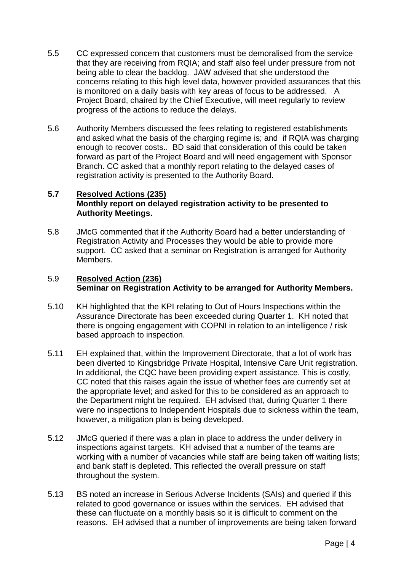- 5.5 CC expressed concern that customers must be demoralised from the service that they are receiving from RQIA; and staff also feel under pressure from not being able to clear the backlog. JAW advised that she understood the concerns relating to this high level data, however provided assurances that this is monitored on a daily basis with key areas of focus to be addressed. A Project Board, chaired by the Chief Executive, will meet regularly to review progress of the actions to reduce the delays.
- 5.6 Authority Members discussed the fees relating to registered establishments and asked what the basis of the charging regime is; and if RQIA was charging enough to recover costs.. BD said that consideration of this could be taken forward as part of the Project Board and will need engagement with Sponsor Branch. CC asked that a monthly report relating to the delayed cases of registration activity is presented to the Authority Board.

#### **5.7 Resolved Actions (235) Monthly report on delayed registration activity to be presented to Authority Meetings.**

5.8 JMcG commented that if the Authority Board had a better understanding of Registration Activity and Processes they would be able to provide more support. CC asked that a seminar on Registration is arranged for Authority Members.

#### 5.9 **Resolved Action (236) Seminar on Registration Activity to be arranged for Authority Members.**

- 5.10 KH highlighted that the KPI relating to Out of Hours Inspections within the Assurance Directorate has been exceeded during Quarter 1. KH noted that there is ongoing engagement with COPNI in relation to an intelligence / risk based approach to inspection.
- 5.11 EH explained that, within the Improvement Directorate, that a lot of work has been diverted to Kingsbridge Private Hospital, Intensive Care Unit registration. In additional, the CQC have been providing expert assistance. This is costly, CC noted that this raises again the issue of whether fees are currently set at the appropriate level; and asked for this to be considered as an approach to the Department might be required. EH advised that, during Quarter 1 there were no inspections to Independent Hospitals due to sickness within the team, however, a mitigation plan is being developed.
- 5.12 JMcG queried if there was a plan in place to address the under delivery in inspections against targets. KH advised that a number of the teams are working with a number of vacancies while staff are being taken off waiting lists; and bank staff is depleted. This reflected the overall pressure on staff throughout the system.
- 5.13 BS noted an increase in Serious Adverse Incidents (SAIs) and queried if this related to good governance or issues within the services. EH advised that these can fluctuate on a monthly basis so it is difficult to comment on the reasons. EH advised that a number of improvements are being taken forward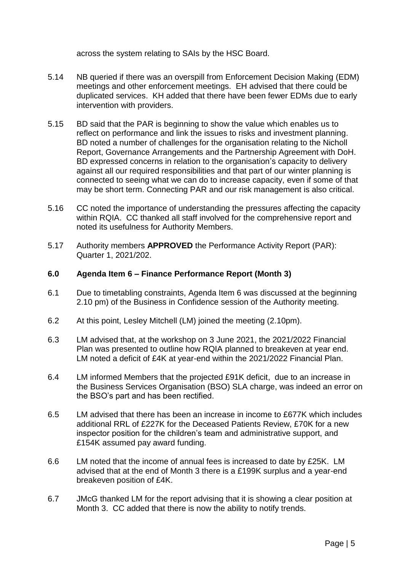across the system relating to SAIs by the HSC Board.

- 5.14 NB queried if there was an overspill from Enforcement Decision Making (EDM) meetings and other enforcement meetings. EH advised that there could be duplicated services. KH added that there have been fewer EDMs due to early intervention with providers.
- 5.15 BD said that the PAR is beginning to show the value which enables us to reflect on performance and link the issues to risks and investment planning. BD noted a number of challenges for the organisation relating to the Nicholl Report, Governance Arrangements and the Partnership Agreement with DoH. BD expressed concerns in relation to the organisation's capacity to delivery against all our required responsibilities and that part of our winter planning is connected to seeing what we can do to increase capacity, even if some of that may be short term. Connecting PAR and our risk management is also critical.
- 5.16 CC noted the importance of understanding the pressures affecting the capacity within RQIA. CC thanked all staff involved for the comprehensive report and noted its usefulness for Authority Members.
- 5.17 Authority members **APPROVED** the Performance Activity Report (PAR): Quarter 1, 2021/202.

#### **6.0 Agenda Item 6 – Finance Performance Report (Month 3)**

- 6.1 Due to timetabling constraints, Agenda Item 6 was discussed at the beginning 2.10 pm) of the Business in Confidence session of the Authority meeting.
- 6.2 At this point, Lesley Mitchell (LM) joined the meeting (2.10pm).
- 6.3 LM advised that, at the workshop on 3 June 2021, the 2021/2022 Financial Plan was presented to outline how RQIA planned to breakeven at year end. LM noted a deficit of £4K at year-end within the 2021/2022 Financial Plan.
- 6.4 LM informed Members that the projected £91K deficit, due to an increase in the Business Services Organisation (BSO) SLA charge, was indeed an error on the BSO's part and has been rectified.
- 6.5 LM advised that there has been an increase in income to £677K which includes additional RRL of £227K for the Deceased Patients Review, £70K for a new inspector position for the children's team and administrative support, and £154K assumed pay award funding.
- 6.6 LM noted that the income of annual fees is increased to date by £25K. LM advised that at the end of Month 3 there is a £199K surplus and a year-end breakeven position of £4K.
- 6.7 JMcG thanked LM for the report advising that it is showing a clear position at Month 3. CC added that there is now the ability to notify trends.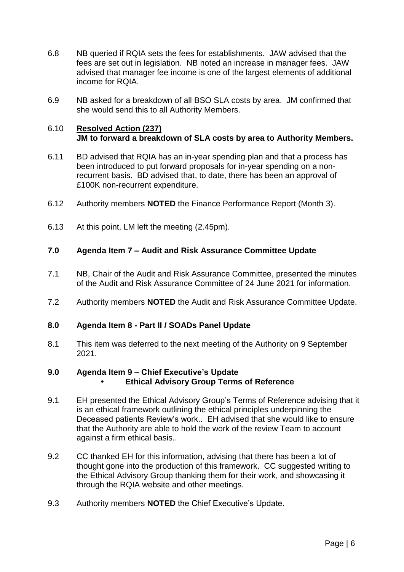- 6.8 NB queried if RQIA sets the fees for establishments. JAW advised that the fees are set out in legislation. NB noted an increase in manager fees. JAW advised that manager fee income is one of the largest elements of additional income for RQIA.
- 6.9 NB asked for a breakdown of all BSO SLA costs by area. JM confirmed that she would send this to all Authority Members.

#### 6.10 **Resolved Action (237) JM to forward a breakdown of SLA costs by area to Authority Members.**

- 6.11 BD advised that RQIA has an in-year spending plan and that a process has been introduced to put forward proposals for in-year spending on a nonrecurrent basis. BD advised that, to date, there has been an approval of £100K non-recurrent expenditure.
- 6.12 Authority members **NOTED** the Finance Performance Report (Month 3).
- 6.13 At this point, LM left the meeting (2.45pm).

#### **7.0 Agenda Item 7 – Audit and Risk Assurance Committee Update**

- 7.1 NB, Chair of the Audit and Risk Assurance Committee, presented the minutes of the Audit and Risk Assurance Committee of 24 June 2021 for information.
- 7.2 Authority members **NOTED** the Audit and Risk Assurance Committee Update.

#### **8.0 Agenda Item 8 - Part II / SOADs Panel Update**

8.1 This item was deferred to the next meeting of the Authority on 9 September 2021.

#### **9.0 Agenda Item 9 – Chief Executive's Update**

- **• Ethical Advisory Group Terms of Reference**
- 9.1 EH presented the Ethical Advisory Group's Terms of Reference advising that it is an ethical framework outlining the ethical principles underpinning the Deceased patients Review's work.. EH advised that she would like to ensure that the Authority are able to hold the work of the review Team to account against a firm ethical basis..
- 9.2 CC thanked EH for this information, advising that there has been a lot of thought gone into the production of this framework. CC suggested writing to the Ethical Advisory Group thanking them for their work, and showcasing it through the RQIA website and other meetings.
- 9.3 Authority members **NOTED** the Chief Executive's Update.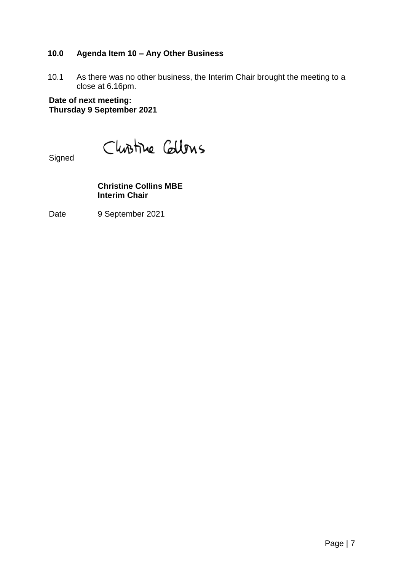## **10.0 Agenda Item 10 – Any Other Business**

10.1 As there was no other business, the Interim Chair brought the meeting to a close at 6.16pm.

**Date of next meeting: Thursday 9 September 2021**

Christine Collons

Signed

**Christine Collins MBE Interim Chair**

Date 9 September 2021